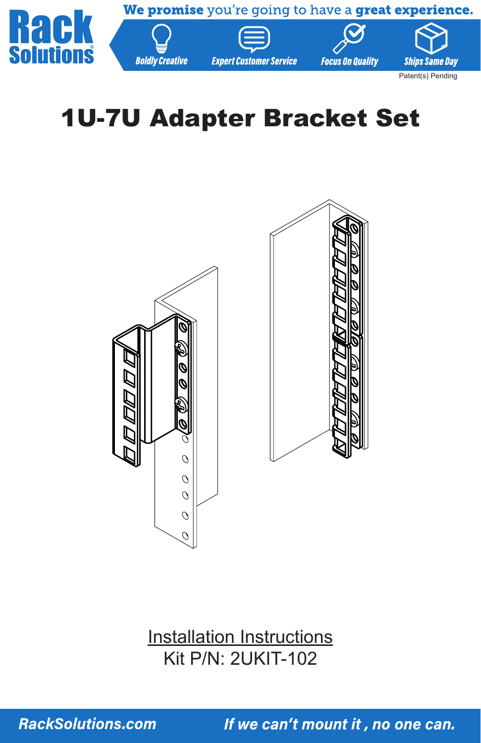

# 1U-7U Adapter Bracket Set





**Installation Instructions** Kit P/N: 2UKIT-102

**RackSolutions.com**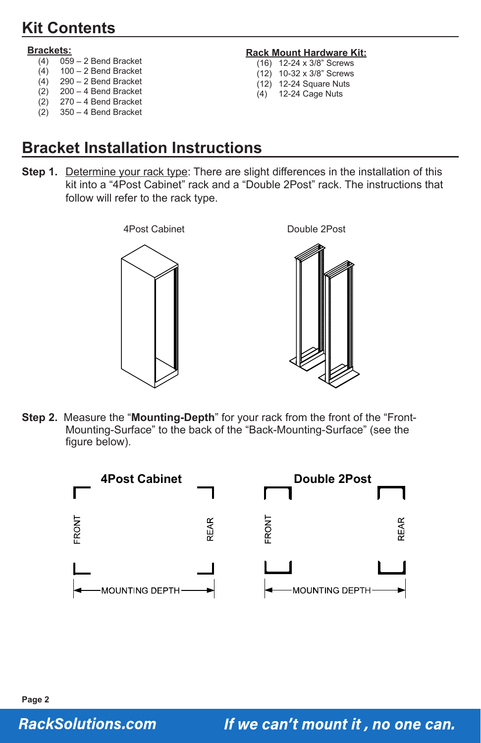# **Kit Contents**

#### **Brackets:**

- $(4)$  059 2 Bend Bracket<br>  $(4)$  100 2 Bend Bracket
- $100 2$  Bend Bracket
- (4) 290 2 Bend Bracket
- $(2)$  200 4 Bend Bracket<br> $(2)$  270 4 Bend Bracket  $270 - 4$  Bend Bracket
- (2) 350 4 Bend Bracket

#### **Rack Mount Hardware Kit:**

- (16) 12-24 x 3/8" Screws
- (12) 10-32 x 3/8" Screws
- (12) 12-24 Square Nuts  $(4)$  12-24 Cage Nuts
- 

# **Bracket Installation Instructions**

**Step 1.** Determine your rack type: There are slight differences in the installation of this kit into a "4Post Cabinet" rack and a "Double 2Post" rack. The instructions that follow will refer to the rack type.



**Step 2.** Measure the "**Mounting-Depth**" for your rack from the front of the "Front-Mounting-Surface" to the back of the "Back-Mounting-Surface" (see the figure below).



#### **RackSolutions.com**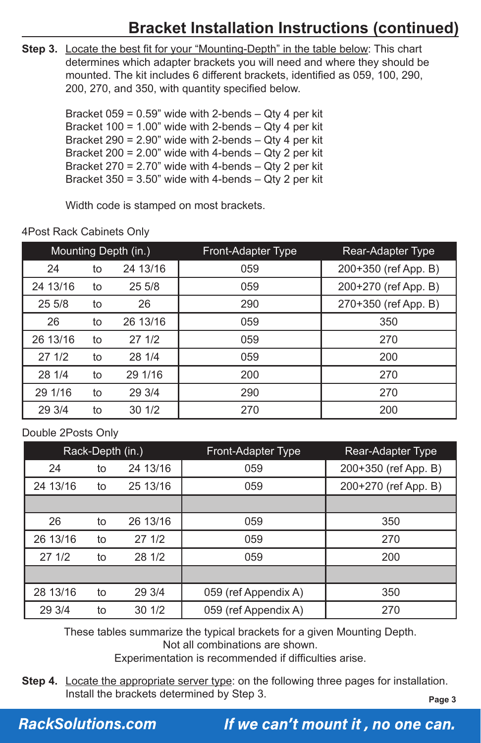# **Bracket Installation Instructions (continued)**

**Step 3.** Locate the best fit for your "Mounting-Depth" in the table below: This chart determines which adapter brackets you will need and where they should be mounted. The kit includes 6 different brackets, identified as 059, 100, 290, 200, 270, and 350, with quantity specified below.

> Bracket  $059 = 0.59$ " wide with 2-bends  $-$  Qty 4 per kit Bracket 100 = 1.00" wide with 2-bends  $-$  Qty 4 per kit Bracket 290 =  $2.90$ " wide with 2-bends  $-$  Qty 4 per kit Bracket 200 =  $2.00$ " wide with 4-bends  $-$  Qty 2 per kit Bracket  $270 = 2.70$ " wide with 4-bends  $-$  Qty 2 per kit Bracket  $350 = 3.50$ " wide with 4-bends  $-$  Qty 2 per kit

Width code is stamped on most brackets.

| Mounting Depth (in.) |    |          | Front-Adapter Type | Rear-Adapter Type    |
|----------------------|----|----------|--------------------|----------------------|
| 24                   | to | 24 13/16 | 059                | 200+350 (ref App. B) |
| 24 13/16             | to | 255/8    | 059                | 200+270 (ref App. B) |
| 255/8                | to | 26       | 290                | 270+350 (ref App. B) |
| 26                   | to | 26 13/16 | 059                | 350                  |
| 26 13/16             | to | 27 1/2   | 059                | 270                  |
| 271/2                | to | 28 1/4   | 059                | 200                  |
| 28 1/4               | to | 29 1/16  | 200                | 270                  |
| 29 1/16              | to | 29 3/4   | 290                | 270                  |
| 29 3/4               | to | 30 1/2   | 270                | 200                  |

4Post Rack Cabinets Only

#### Double 2Posts Only

| Rack-Depth (in.) |    |          | Front-Adapter Type   | Rear-Adapter Type    |
|------------------|----|----------|----------------------|----------------------|
| 24               | to | 24 13/16 | 059                  | 200+350 (ref App. B) |
| 24 13/16         | to | 25 13/16 | 059                  | 200+270 (ref App. B) |
|                  |    |          |                      |                      |
| 26               | to | 26 13/16 | 059                  | 350                  |
| 26 13/16         | to | 271/2    | 059                  | 270                  |
| 271/2            | to | 28 1/2   | 059                  | 200                  |
|                  |    |          |                      |                      |
| 28 13/16         | to | 29 3/4   | 059 (ref Appendix A) | 350                  |
| 29 3/4           | to | 301/2    | 059 (ref Appendix A) | 270                  |

These tables summarize the typical brackets for a given Mounting Depth.

Not all combinations are shown.

Experimentation is recommended if difficulties arise.

**Step 4.** Locate the appropriate server type: on the following three pages for installation. Install the brackets determined by Step 3.

**Page 3**

#### **RackSolutions.com**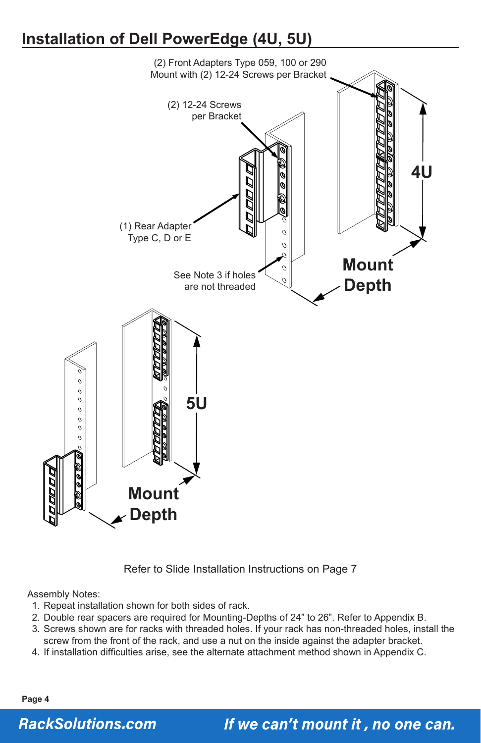### **Installation of Dell PowerEdge (4U, 5U)**



Refer to Slide Installation Instructions on Page 7

Assembly Notes:

- 1. Repeat installation shown for both sides of rack.
- 2. Double rear spacers are required for Mounting-Depths of 24" to 26". Refer to Appendix B.
- 3. Screws shown are for racks with threaded holes. If your rack has non-threaded holes, install the screw from the front of the rack, and use a nut on the inside against the adapter bracket.
- 4. If installation difficulties arise, see the alternate attachment method shown in Appendix C.

**Page 4**

#### **RackSolutions.com**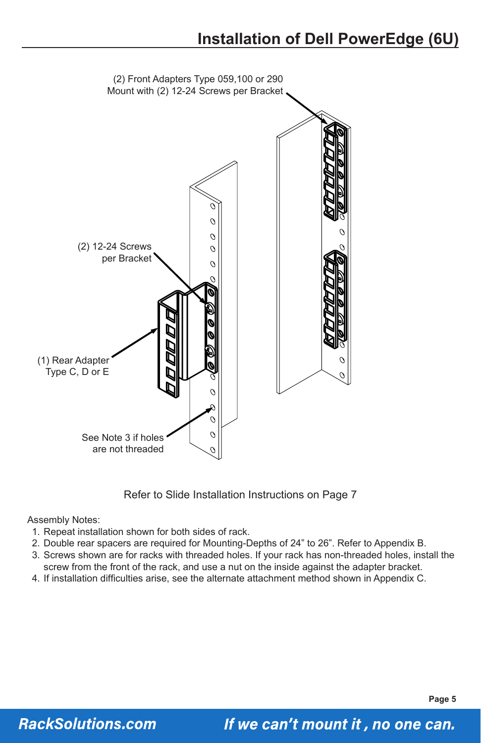

Refer to Slide Installation Instructions on Page 7

Assembly Notes:

- 1. Repeat installation shown for both sides of rack.
- 2. Double rear spacers are required for Mounting-Depths of 24" to 26". Refer to Appendix B.
- 3. Screws shown are for racks with threaded holes. If your rack has non-threaded holes, install the screw from the front of the rack, and use a nut on the inside against the adapter bracket.
- 4. If installation difficulties arise, see the alternate attachment method shown in Appendix C.

**Page 5**

#### **RackSolutions.com**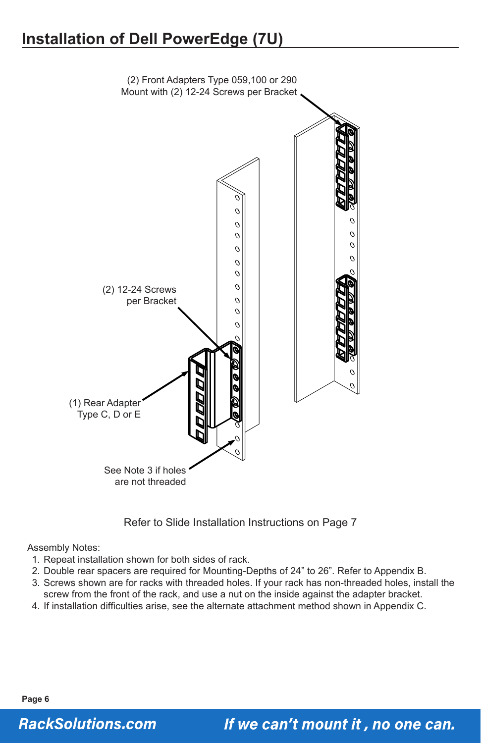# **Installation of Dell PowerEdge (7U)**



Refer to Slide Installation Instructions on Page 7

Assembly Notes:

- 1. Repeat installation shown for both sides of rack.
- 2. Double rear spacers are required for Mounting-Depths of 24" to 26". Refer to Appendix B.
- 3. Screws shown are for racks with threaded holes. If your rack has non-threaded holes, install the screw from the front of the rack, and use a nut on the inside against the adapter bracket.
- 4. If installation difficulties arise, see the alternate attachment method shown in Appendix C.

**Page 6**

### **RackSolutions.com**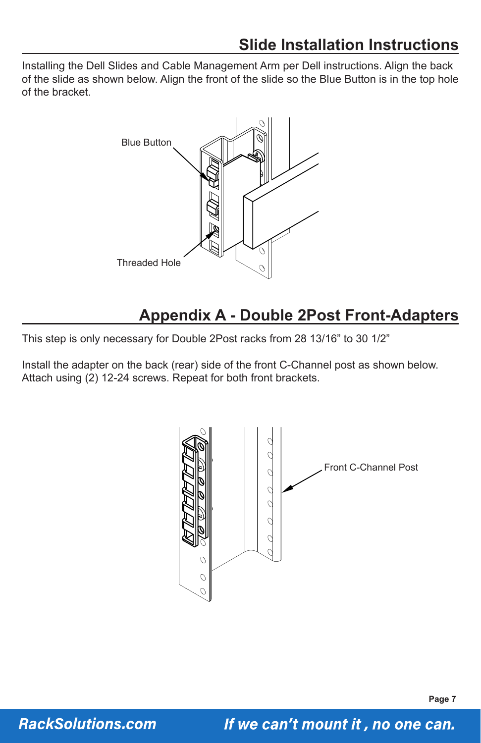Installing the Dell Slides and Cable Management Arm per Dell instructions. Align the back of the slide as shown below. Align the front of the slide so the Blue Button is in the top hole of the bracket.



### **Appendix A - Double 2Post Front-Adapters**

This step is only necessary for Double 2Post racks from 28 13/16" to 30 1/2"

Install the adapter on the back (rear) side of the front C-Channel post as shown below. Attach using (2) 12-24 screws. Repeat for both front brackets.



**RackSolutions.com**